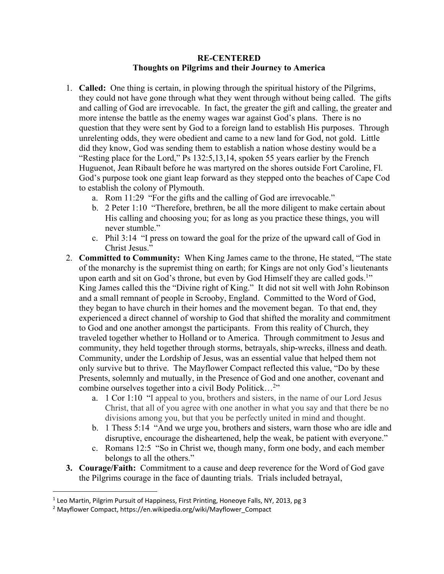## **RE-CENTERED Thoughts on Pilgrims and their Journey to America**

- 1. **Called:** One thing is certain, in plowing through the spiritual history of the Pilgrims, they could not have gone through what they went through without being called. The gifts and calling of God are irrevocable. In fact, the greater the gift and calling, the greater and more intense the battle as the enemy wages war against God's plans. There is no question that they were sent by God to a foreign land to establish His purposes. Through unrelenting odds, they were obedient and came to a new land for God, not gold. Little did they know, God was sending them to establish a nation whose destiny would be a "Resting place for the Lord," Ps 132:5,13,14, spoken 55 years earlier by the French Huguenot, Jean Ribault before he was martyred on the shores outside Fort Caroline, Fl. God's purpose took one giant leap forward as they stepped onto the beaches of Cape Cod to establish the colony of Plymouth.
	- a. Rom 11:29 "For the gifts and the calling of God are irrevocable."
	- b. 2 Peter 1:10 "Therefore, brethren, be all the more diligent to make certain about His calling and choosing you; for as long as you practice these things, you will never stumble."
	- c. Phil 3:14 "I press on toward the goal for the prize of the upward call of God in Christ Jesus."
- 2. **Committed to Community:** When King James came to the throne, He stated, "The state of the monarchy is the supremist thing on earth; for Kings are not only God's lieutenants upon earth and sit on God's throne, but even by God Himself they are called gods.<sup>1"</sup> King James called this the "Divine right of King." It did not sit well with John Robinson and a small remnant of people in Scrooby, England. Committed to the Word of God, they began to have church in their homes and the movement began. To that end, they experienced a direct channel of worship to God that shifted the morality and commitment to God and one another amongst the participants. From this reality of Church, they traveled together whether to Holland or to America. Through commitment to Jesus and community, they held together through storms, betrayals, ship-wrecks, illness and death. Community, under the Lordship of Jesus, was an essential value that helped them not only survive but to thrive. The Mayflower Compact reflected this value, "Do by these Presents, solemnly and mutually, in the Presence of God and one another, covenant and combine ourselves together into a civil Body Politick…2"
	- a. 1 Cor 1:10 "I appeal to you, brothers and sisters, in the name of our Lord Jesus Christ, that all of you agree with one another in what you say and that there be no divisions among you, but that you be perfectly united in mind and thought.
	- b. 1 Thess 5:14 "And we urge you, brothers and sisters, warn those who are idle and disruptive, encourage the disheartened, help the weak, be patient with everyone."
	- c. Romans 12:5 "So in Christ we, though many, form one body, and each member belongs to all the others."
- **3. Courage/Faith:** Commitment to a cause and deep reverence for the Word of God gave the Pilgrims courage in the face of daunting trials. Trials included betrayal,

<sup>&</sup>lt;sup>1</sup> Leo Martin, Pilgrim Pursuit of Happiness, First Printing, Honeoye Falls, NY, 2013, pg 3

<sup>&</sup>lt;sup>2</sup> Mayflower Compact, https://en.wikipedia.org/wiki/Mayflower\_Compact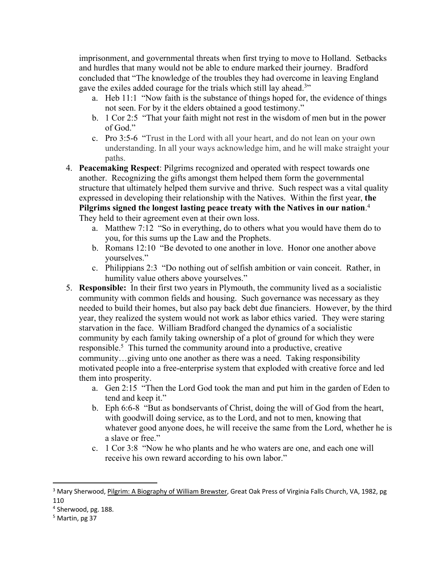imprisonment, and governmental threats when first trying to move to Holland. Setbacks and hurdles that many would not be able to endure marked their journey. Bradford concluded that "The knowledge of the troubles they had overcome in leaving England gave the exiles added courage for the trials which still lay ahead.<sup>3</sup>"

- a. Heb 11:1 "Now faith is the substance of things hoped for, the evidence of things not seen. For by it the elders obtained a good testimony."
- b. 1 Cor 2:5 "That your faith might not rest in the wisdom of men but in the power of God."
- c. Pro 3:5-6 "Trust in the Lord with all your heart, and do not lean on your own understanding. In all your ways acknowledge him, and he will make straight your paths.
- 4. **Peacemaking Respect**: Pilgrims recognized and operated with respect towards one another. Recognizing the gifts amongst them helped them form the governmental structure that ultimately helped them survive and thrive. Such respect was a vital quality expressed in developing their relationship with the Natives. Within the first year, **the Pilgrims signed the longest lasting peace treaty with the Natives in our nation**. 4 They held to their agreement even at their own loss.
	- a. Matthew 7:12 "So in everything, do to others what you would have them do to you, for this sums up the Law and the Prophets.
	- b. Romans 12:10 "Be devoted to one another in love. Honor one another above yourselves."
	- c. Philippians 2:3 "Do nothing out of selfish ambition or vain conceit. Rather, in humility value others above yourselves."
- 5. **Responsible:** In their first two years in Plymouth, the community lived as a socialistic community with common fields and housing. Such governance was necessary as they needed to build their homes, but also pay back debt due financiers. However, by the third year, they realized the system would not work as labor ethics varied. They were staring starvation in the face. William Bradford changed the dynamics of a socialistic community by each family taking ownership of a plot of ground for which they were responsible.5 This turned the community around into a productive, creative community…giving unto one another as there was a need. Taking responsibility motivated people into a free-enterprise system that exploded with creative force and led them into prosperity.
	- a. Gen 2:15 "Then the Lord God took the man and put him in the garden of Eden to tend and keep it."
	- b. Eph 6:6-8 "But as bondservants of Christ, doing the will of God from the heart, with goodwill doing service, as to the Lord, and not to men, knowing that whatever good anyone does, he will receive the same from the Lord, whether he is a slave or free."
	- c. 1 Cor 3:8 "Now he who plants and he who waters are one, and each one will receive his own reward according to his own labor."

<sup>&</sup>lt;sup>3</sup> Mary Sherwood, Pilgrim: A Biography of William Brewster, Great Oak Press of Virginia Falls Church, VA, 1982, pg 110

<sup>4</sup> Sherwood, pg. 188.

<sup>5</sup> Martin, pg 37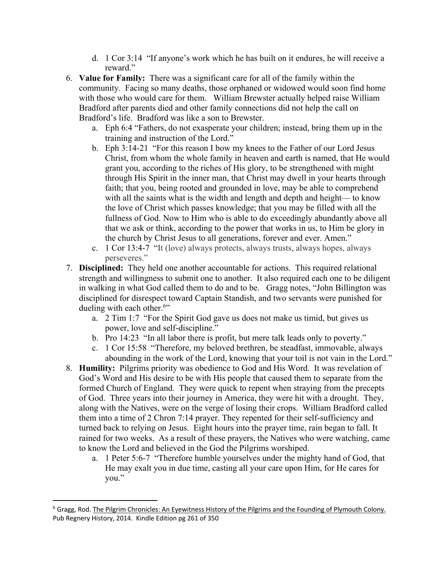- d. 1 Cor 3:14 "If anyone's work which he has built on it endures, he will receive a reward."
- 6. **Value for Family:** There was a significant care for all of the family within the community. Facing so many deaths, those orphaned or widowed would soon find home with those who would care for them. William Brewster actually helped raise William Bradford after parents died and other family connections did not help the call on Bradford's life. Bradford was like a son to Brewster.
	- a. Eph 6:4 "Fathers, do not exasperate your children; instead, bring them up in the training and instruction of the Lord."
	- b. Eph 3:14-21 "For this reason I bow my knees to the Father of our Lord Jesus Christ, from whom the whole family in heaven and earth is named, that He would grant you, according to the riches of His glory, to be strengthened with might through His Spirit in the inner man, that Christ may dwell in your hearts through faith; that you, being rooted and grounded in love, may be able to comprehend with all the saints what is the width and length and depth and height— to know the love of Christ which passes knowledge; that you may be filled with all the fullness of God. Now to Him who is able to do exceedingly abundantly above all that we ask or think, according to the power that works in us, to Him be glory in the church by Christ Jesus to all generations, forever and ever. Amen."
	- c. 1 Cor 13:4-7 "It (love) always protects, always trusts, always hopes, always perseveres."
- 7. **Disciplined:** They held one another accountable for actions. This required relational strength and willingness to submit one to another. It also required each one to be diligent in walking in what God called them to do and to be. Gragg notes, "John Billington was disciplined for disrespect toward Captain Standish, and two servants were punished for dueling with each other.<sup>6"</sup>
	- a. 2 Tim 1:7 "For the Spirit God gave us does not make us timid, but gives us power, love and self-discipline."
	- b. Pro 14:23 "In all labor there is profit, but mere talk leads only to poverty."
	- c. 1 Cor 15:58 "Therefore, my beloved brethren, be steadfast, immovable, always abounding in the work of the Lord, knowing that your toil is not vain in the Lord."
- 8. **Humility:** Pilgrims priority was obedience to God and His Word. It was revelation of God's Word and His desire to be with His people that caused them to separate from the formed Church of England. They were quick to repent when straying from the precepts of God. Three years into their journey in America, they were hit with a drought. They, along with the Natives, were on the verge of losing their crops. William Bradford called them into a time of 2 Chron 7:14 prayer. They repented for their self-sufficiency and turned back to relying on Jesus. Eight hours into the prayer time, rain began to fall. It rained for two weeks. As a result of these prayers, the Natives who were watching, came to know the Lord and believed in the God the Pilgrims worshiped.
	- a. 1 Peter 5:6-7 "Therefore humble yourselves under the mighty hand of God, that He may exalt you in due time, casting all your care upon Him, for He cares for you."

<sup>&</sup>lt;sup>6</sup> Gragg, Rod. The Pilgrim Chronicles: An Eyewitness History of the Pilgrims and the Founding of Plymouth Colony. Pub Regnery History, 2014. Kindle Edition pg 261 of 350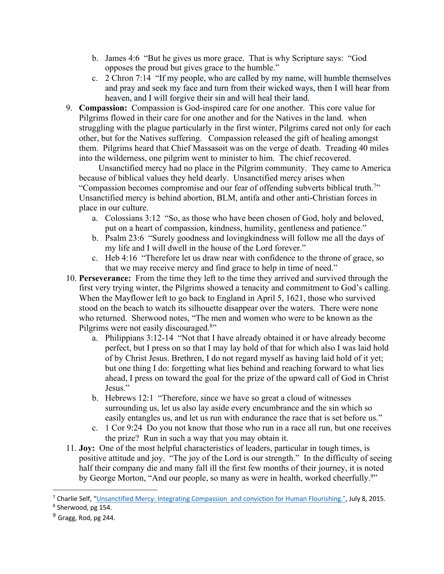- b. James 4:6 "But he gives us more grace. That is why Scripture says: "God opposes the proud but gives grace to the humble."
- c. 2 Chron 7:14 "If my people, who are called by my name, will humble themselves and pray and seek my face and turn from their wicked ways, then I will hear from heaven, and I will forgive their sin and will heal their land.
- 9. **Compassion:** Compassion is God-inspired care for one another. This core value for Pilgrims flowed in their care for one another and for the Natives in the land. when struggling with the plague particularly in the first winter, Pilgrims cared not only for each other, but for the Natives suffering. Compassion released the gift of healing amongst them. Pilgrims heard that Chief Massasoit was on the verge of death. Treading 40 miles into the wilderness, one pilgrim went to minister to him. The chief recovered.

 Unsanctified mercy had no place in the Pilgrim community. They came to America because of biblical values they held dearly. Unsanctified mercy arises when "Compassion becomes compromise and our fear of offending subverts biblical truth.7 " Unsanctified mercy is behind abortion, BLM, antifa and other anti-Christian forces in place in our culture.

- a. Colossians 3:12 "So, as those who have been chosen of God, holy and beloved, put on a heart of compassion, kindness, humility, gentleness and patience."
- b. Psalm 23:6 "Surely goodness and lovingkindness will follow me all the days of my life and I will dwell in the house of the Lord forever."
- c. Heb 4:16 "Therefore let us draw near with confidence to the throne of grace, so that we may receive mercy and find grace to help in time of need."
- 10. **Perseverance:** From the time they left to the time they arrived and survived through the first very trying winter, the Pilgrims showed a tenacity and commitment to God's calling. When the Mayflower left to go back to England in April 5, 1621, those who survived stood on the beach to watch its silhouette disappear over the waters. There were none who returned. Sherwood notes, "The men and women who were to be known as the Pilgrims were not easily discouraged.<sup>8</sup>"
	- a. Philippians 3:12-14 "Not that I have already obtained it or have already become perfect, but I press on so that I may lay hold of that for which also I was laid hold of by Christ Jesus. Brethren, I do not regard myself as having laid hold of it yet; but one thing I do: forgetting what lies behind and reaching forward to what lies ahead, I press on toward the goal for the prize of the upward call of God in Christ Jesus."
	- b. Hebrews 12:1 "Therefore, since we have so great a cloud of witnesses surrounding us, let us also lay aside every encumbrance and the sin which so easily entangles us, and let us run with endurance the race that is set before us."
	- c. 1 Cor 9:24 Do you not know that those who run in a race all run, but one receives the prize? Run in such a way that you may obtain it.
- 11. **Joy:** One of the most helpful characteristics of leaders, particular in tough times, is positive attitude and joy. "The joy of the Lord is our strength." In the difficulty of seeing half their company die and many fall ill the first few months of their journey, it is noted by George Morton, "And our people, so many as were in health, worked cheerfully.<sup>9</sup>"

<sup>&</sup>lt;sup>7</sup> Charlie Self, "Unsanctified Mercy: Integrating Compassion and conviction for Human Flourishing.", July 8, 2015.<br><sup>8</sup> Sherwood, pg 154.

 $9$  Gragg, Rod, pg 244.